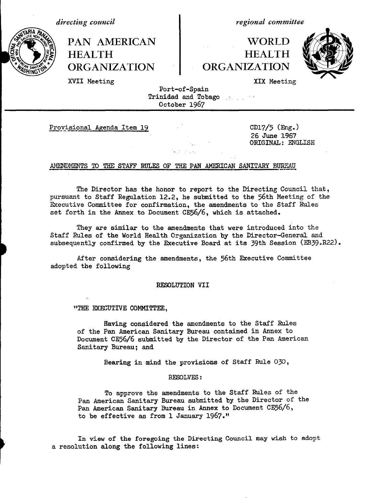*directing council*

*regional committee*

PAN AMERICAN **FAN AMERICAN** HEALTH  $\parallel$  HEALTH ORGANIZATION ORGANIZATION



XVII Meeting **XIX Meeting** XIX Meeting

Port-of-Spain Trinidad and Tobago : . October 1967

Provisional Agenda Item 19 CD17/5 (Eng.)

26 June 1967 ORIGINAL: ENGLISH

## AMENDMENTS TO THE **STAFF** RULES **OF THE** PAN AMERICAN SANITARY BUREAU

The Director has the honor to report to the Directing Council that, pursuant to Staff Regulation 12.2, he submitted to the 56th Meeting of the Executive Committee for confirmation, the amendments to the Staff Rules set forth in the Annex to Document CE56/6, which is attached.

od od se

They are similar to the amendments that were introduced into the Staff Rules of the World Health Organization by the Director-General and subsequently confirmed by the Executive Board at its 39th Session (EB39.R22).

After considering the amendments, the 56th Executive Committee adopted the following

## RESOLUTION VII

"THE EXECUTIVE COMMITTEE,

Having considered the amendments to the Staff Rules of the Pan American Sanitary Bureau contained in Annex to Document CE56/6 submitted by the Director of the Pan American Sanitary Bureau; and

Bearing in mind the provisions of Staff Rule 030,

# RESOLVES:

To approve the amendments to the Staff Rules of the Pan American Sanitary Bureau submitted by the Director of the Pan American Sanitary Bureau in Annex to Document CE56/6, to be effective as from 1 January 1967."

In view of the foregoing the Directing Council may wish to adopt a resolution along the following lines: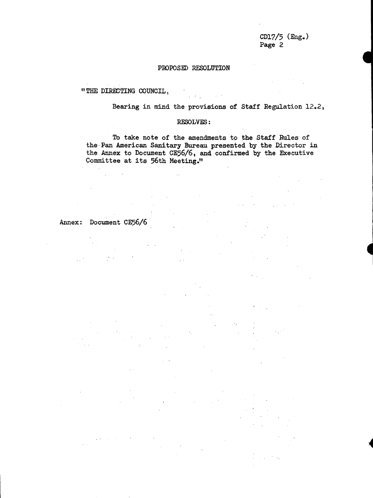$CD17/5$  (Eng.) Page 2

**!**

**4**

**i4**

# PROPOSED RESOLUTION

"THE DIRECTING COUNCIL,

Bearing in mind the provisions of Staff Regulation 12.2,

## RESOLVES:

 $\bar{\mathcal{A}}$ 

 $\sim$ 

To take note of the amendments to the Staff Rules of the Pan American Sanitary Bureau presented by the Director in the Annex to Document CE56/6, and confirmed by the Executive Committee at its 56th Meeting."

# Annex: Document CE56/6

 $\label{eq:2} \frac{1}{\sqrt{2\pi}}\left(\frac{1}{\sqrt{2}}\right)^{2} \int_{0}^{\pi} \frac{1}{\sqrt{2}}\left(\frac{1}{\sqrt{2}}\right)^{2} \frac{1}{\sqrt{2}}\left(\frac{1}{\sqrt{2}}\right)^{2} \frac{1}{\sqrt{2}}\left(\frac{1}{\sqrt{2}}\right)^{2} \frac{1}{\sqrt{2}}\left(\frac{1}{\sqrt{2}}\right)^{2} \frac{1}{\sqrt{2}}\left(\frac{1}{\sqrt{2}}\right)^{2} \frac{1}{\sqrt{2}}\left(\frac{1}{\sqrt{2}}\right)^{2} \frac{1}{\$ 

 $\gamma$  .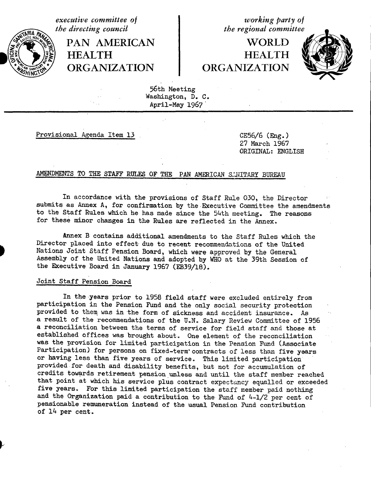PAN AMERICAN | WORLD HEALTH HEALTH ~ ORGANIZATION ORGANIZATION

*executive committee of*<br> *the directing council*<br> *the regional committee the regional committee* 



56th Meeting Washington, D. C. April-May 1967

Provisional Agenda Item 13 CE56/6 (Eng.)

27 March 1967 ORIGINAL: ENGLISH

# AMENDMENTS TO THE STAFF RULES OF THE PAN AMERICAN SANITARY BUREAU

In accordance with the provisions of Staff Rule 030, the Director submits as Annex A, for confirmation by the-Executive Committee the amendments to the Staff Rules which he has made since the 54th meeting. The reasons for these minor changes in the Rules are reflected in the Annex.

Annex B contains additional amendments to the Staff Rules which the Director placed into effect due to recent recommendations of the United Nations Joint Staff Pension Board, which were approved by the General Assembly of the United Nations and adopted by WHO at the 39th Session of the Executive Board in January 1967 (EB39/18).

# Joint Staff Pension Board

In the years prior to 1958 field staff were excluded entirely from participation in the Pension Fund and the only social security protection provided to them was in the form of sickness and accident insurance. As a result of the recommendations of the U.N. Salary Review Committee of 1956 a reconciliation between the terms of service for field staff and those at established offices was brought about. One element of the reconciliation was the provision for limited participation in the Pension Fund (Associate Participation) for persons on fixed-term' contracts of less than five years or having less than five years of service. This limited participation provided for death and disability benefits, but not for accumulation of credits towards retirement pension unless and until the staff member reached that point at which his service plus contract expectancy equalled or exceeded five years. For this limited participation the staff member paid nothing and the Organization paid a contribution to the Fund of 4-1/2 per cent of pensionable remuneration instead of the usual Pension Fund contribution of 14 per cent.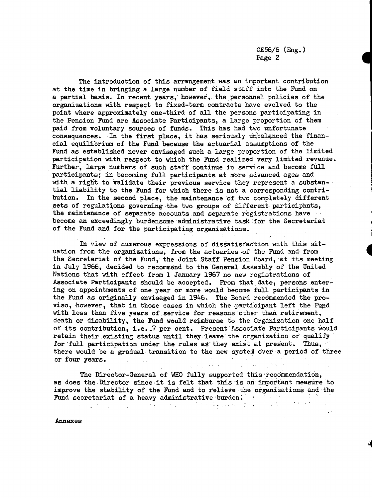The introduction of this arrangement was an important contribution at the time in bringing a large number of field staff into the Fund on a partial basis. In recent years,' however, the personnel policies of the organizations with respect to fixed-term contracts have evolved to the point where approximately one-third of all the persons participating in the Pension Fund are Associate Participants, a large proportion of them paid from voluntary sources of funds. This has had two unfortunate consequences. In the first place, it has seriously unbalanced the financial equilibrium of the Fund because the actuarial assumptions of the Fund as established never envisaged such a large proportion of the limited participation with respect to which the Fund realized very limited revenue. Further, large numbers of such staff continue in service and become full participants; in becoming.full participants at more advanced ages and with a right to validate their previous service they represent a substantial liability to the Fund for which there is not a corresponding contribution. In the second place, the maintenance of two completely different sets of regulations governing the two groups of different participants, the maintenance of separate accounts and separate registrations have become an exceedingly burdensome administrative task for the Secretariat of the Fund and for the participating organizations.

In view of numerous expressions of dissatisfaction with this situation from the organizations, from the actuaries of the Fund and from the Secretariat of the Fund, the Joint Staff Pension Board, at its meeting in July 1966, decided to recommend to the General Assembly of the United Nations that with effect from 1 January 1967 no new registrations of Associate Participants should be accepted. From that date, persons entering on appointments of one year or more would become full participants in the Fund as originally envisaged in 1946. The Board recommended the proviso, however, that in those cases in which the participant left the Fund with less than five years of service for reasons other than retirement, death or disability, the Fund would reimburse to the Organization one half of its contribution, i.e. 7 per cent. Present Associate Participants would retain their existing status until they leave the organization or qualify for full participation under the rules as they exist at present. Thus, there would be a.gradual transition to the new system over a period of three  $\sim$   $\sim$   $\sim$ or four years.  $\sim 100$  km and a transfer

The Director-General of WHO fully supported this recommendation, as does the Director since it is felt that this is an important measure to improve the stability of the Fund and to relieve the organizations'and the Fund secretariat of a heavy administrative burden.  $\mathcal{F}=\{f\}_{f}$ 

 $\sigma_{\rm{max}}$ 

 $\mathcal{L}^{\mathcal{L}}$ 

 $\mathcal{F}=\mathcal{F}$  .

 $\mathcal{L}(\mathcal{L}^{\mathcal{L}})$  . The contribution of the set of the set of the set of the set of the set of the set of the set of the set of the set of the set of the set of the set of the set of the set of the set of the set of

Annexes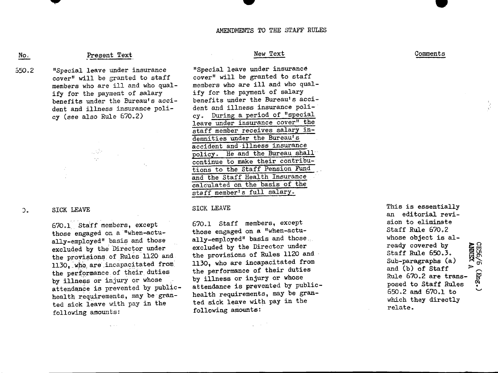#### AMENDMENTS TO THE STAFF RULES

W

# Present Text

"Special leave under insurance cover" will be granted to staff members who are ill and who qualify for the payment of salary benefits under the Bureau's accident and illness insurance policy (see also Rule 670.2) 350.2

> $\sim 10^{11}$  $\omega_{\rm{p}}\omega$

#### SICK LEAVE  $\mathcal{L}$ .

No,

670.1 Sta'ff members, except those engaged on a "when-actually-employed" basis and those excluded by the Director under the provisions of Rules 1120 and 1130, **wfo** are incapacitated from the performance of their duties by illness or injury or whose attendance is prevented by publichealth requirements, may be-granted sick leave with pay in the following amounts:

# New Text Comments

"Special leave under insurance cover" will be granted to staff members who are ill and who qualify for the payment of salary benefits under the Bureau's accident and illness insurance policy. During a period of "special leave under insurance cover" the staff member receives salary indemnities under the Bureau's accident and illness insurance policy. He and the Bureau shall continue to make their contributions to the Staff Pension Fund and the Staff Health Insurance calculated on the basis of the staff member's full salary.

#### SICK LEAVE

670.1 Staff members, except those engaged on a "when-actually-employed" basis and those., excluded by the Director under the provisions of Rules 1120 and 1130, who are incapacitated from the performance of their duties by illness or injury or whose attendance is prevented by publichealth requirements, may be granted sick leave with pay in the following amounts:

 $\varphi \in \mathbb{R}^{n \times n}$ 

an editorial revision to eliminate Staff Rule 670.2 whose object is already covered by Staff Rule 650.3. ready covered by<br>
Staff Rule 650.3.<br>
Sub-paragraphs (a)<br>
and (b) of Staff<br>
Rule 670.2 are transposed to Staff Rules<br>  $\frac{1}{2}$ <br>  $\frac{1}{2}$ <br>  $\frac{1}{2}$ <br>  $\frac{1}{2}$ <br>  $\frac{1}{2}$ <br>  $\frac{1}{2}$ <br>  $\frac{1}{2}$ <br>  $\frac{1}{2}$ <br>  $\frac{1}{2}$ <br>  $\frac{1$ and (b) of Staff Rule 670.2 are transposed to Staff Rules 650.2 and 670.1 to which they directly relate.

This is essentially

V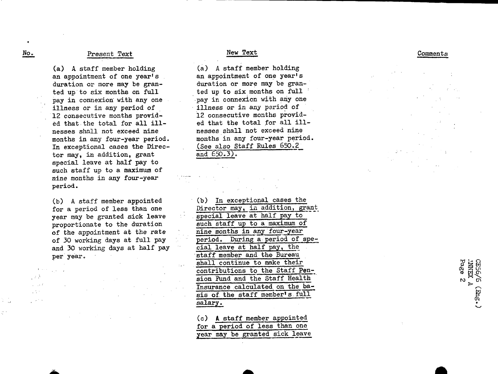#### Present Text No. Superior Present Text New Text New Text Comments

(a) A staff member holding an appointment of one year's duration or more may be granted up to six months on full pay in connexion with any one illness or in any period of 12 consecutive months provided that the total for all illnesses shall not exceed nine months in any four-year period. In exceptional cases the Director may, in addition, grant special leave at half pay to such staff up to a maximum of nine months in any four-year period.

(b) A staff member appointed for a period of less than one year may be granted sick leave proportionate to the duration of the appointment at the rate of 30 working days at full pay and 30 working days at half pay per year.

(a) A staff member holding an appointment of one year's duration or more may be granted up to six months on full pay in connexion with any one illness or in any period of 12 consecutive months provided that the total for all illnesses shall not exceed nine months in any four-year period. (See also Staff Rules 650.2 and 650.3).

(b) In exceptional cases the Director may, in addition, grant special leave at half pay to such staff up to a maximum of nine months in any four-year period. During a period of special leave at half pay, the staff member and the Bureau shall continue to make their contributions to the Staff Pension Fund and the Staff Health Insurance calculated on the basis of the staff member's full salary,

(c) A staff member appointed for a period of less than one year may be granted sick leave

 $\bullet$ 

 $\mathbb{R}^{n}$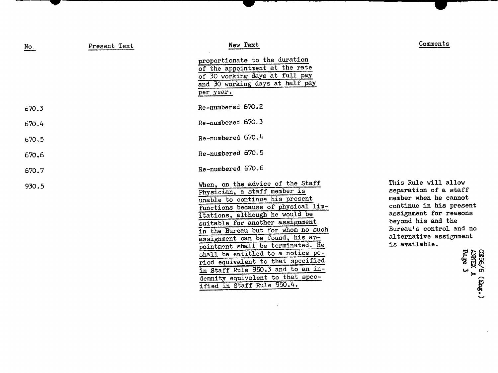| No.   | Present Text | New Text                                                                                                                                                                                                                                                                                                                                                                                                                                                                                                      | Comments                                                                                                                                                                                                                                                          |
|-------|--------------|---------------------------------------------------------------------------------------------------------------------------------------------------------------------------------------------------------------------------------------------------------------------------------------------------------------------------------------------------------------------------------------------------------------------------------------------------------------------------------------------------------------|-------------------------------------------------------------------------------------------------------------------------------------------------------------------------------------------------------------------------------------------------------------------|
|       |              | proportionate to the duration<br>of the appointment at the rate<br>of 30 working days at full pay<br>and 30 working days at half pay<br>per year.                                                                                                                                                                                                                                                                                                                                                             |                                                                                                                                                                                                                                                                   |
| 670.3 |              | Re-numbered 670.2                                                                                                                                                                                                                                                                                                                                                                                                                                                                                             |                                                                                                                                                                                                                                                                   |
| 670.4 |              | Re-numbered 670.3                                                                                                                                                                                                                                                                                                                                                                                                                                                                                             |                                                                                                                                                                                                                                                                   |
| 670.5 |              | Re-numbered 670.4                                                                                                                                                                                                                                                                                                                                                                                                                                                                                             |                                                                                                                                                                                                                                                                   |
| 670.6 |              | Re-numbered 670.5                                                                                                                                                                                                                                                                                                                                                                                                                                                                                             |                                                                                                                                                                                                                                                                   |
| 670.7 |              | Re-numbered 670.6                                                                                                                                                                                                                                                                                                                                                                                                                                                                                             |                                                                                                                                                                                                                                                                   |
| 930.5 |              | When, on the advice of the Staff<br>Physician, a staff member is<br>unable to continue his present<br>functions because of physical lim-<br>itations, although he would be<br>suitable for another assignment<br>in the Bureau but for whom no such<br>assignment can be found, his ap-<br>pointment shall be terminated. He<br>shall be entitled to a notice pe-<br>riod equivalent to that specified<br>in Staff Rule 950.3 and to an in-<br>demnity equivalent to that spec-<br>ified in Staff Rule 950.4. | This Rule will allow<br>separation of a staff<br>member when he cannot<br>continue in his present<br>assignment for reasons<br>beyond his and the<br>Bureau's control and no<br>alternative assignment<br>is available.<br>CE56/6 (<br>ANNEX A<br>Page 3<br>(300) |

 $\sim 10^6$ 

- *I* r ---- ~~~~~~w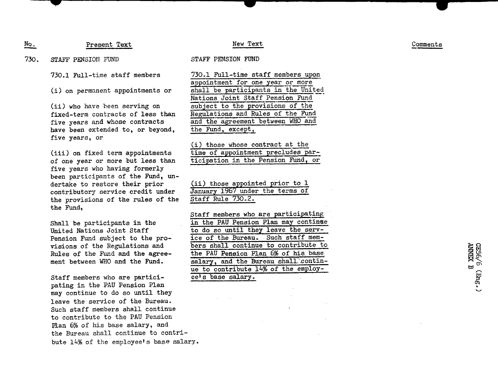New Text

No, Present Text

730. STAFF PENSION FUND

730.1 Full-time staff members

(i) on permanent appointments or

(ii) who have been serving on fixed-term contracts of less than five years and whose contracts have been extended to, or beyond, five years, or

(iii) on fixed term appointments of one year or more but less than five years who having formerly been participants of the Fund, undertake to restore their prior contributory service credit under the provisions of the rules of the the Fund,

Shall be participants in the United Nations Joint Staff Pension Fund subject to the provisions of the Regulations and Rules of the Fund and the agreement between WHO and the Fund.

Staff members who are participating in the PAU Pension Plan may continue to do so until they leave the service of the Bureau. Such staff members shall continue to contribute to the PAU Pension Plan 6% of his base salary, and the Bureau shall continue to contribute 14% of the employee's base salary.

## STAFF PENSION FUND

730.1 Full-time staff members upon appointment for one year or more shall be participants in the United Nations Joint Staff Pension Fund subject to the provisions of the Regulations and Rules of the Fund and the agreement between WHO and the Fund, except,

(i) those whose contract at the time of appointment precludes participation in the Pension Fund, or

(ii) those appointed prior to 1 January 1967 under the terms of Staff Rule 730.2.

Staff members who are participating in the PAU Pension Plan may continue to do so until they leave the service of the Bureau. Such staff members shall continue to contribute to the PAU Pension Plan 6% of his. base salary, and the Bureau shall continue to contribute 14% of the employeels base salary.